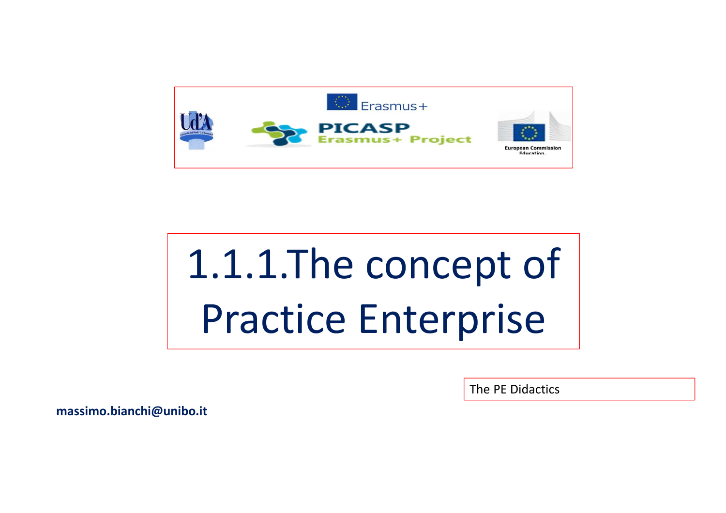

# 1.1.1.The concept of Practice Enterprise

The PE Didactics

**massimo.bianchi@unibo.it**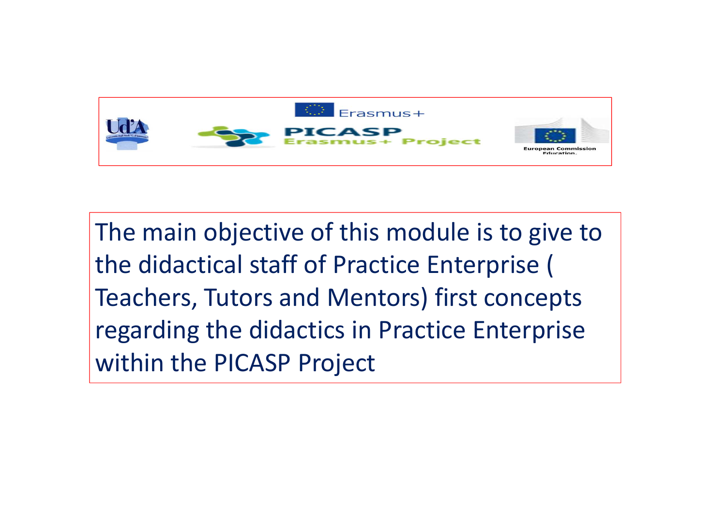

The main objective of this module is to give to the didactical staff of Practice Enterprise ( Teachers, Tutors and Mentors) first conceptsregarding the didactics in Practice Enterprise within the PICASP Project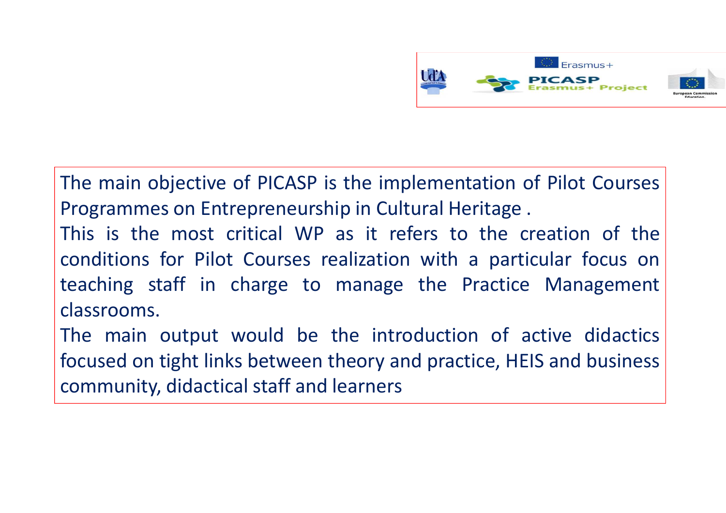

The main objective of PICASP is the implementation of Pilot Courses Programmes on Entrepreneurship in Cultural Heritage .

This is the most critical WP as it refers to the creation of the conditions for Pilot Courses realization with <sup>a</sup> particular focus on teaching staff in charge to manage the Practice Management classrooms.

The main output would be the introduction of active didactic sfocused on tight links between theory and practice, HEIS and business community, didactical staff and learners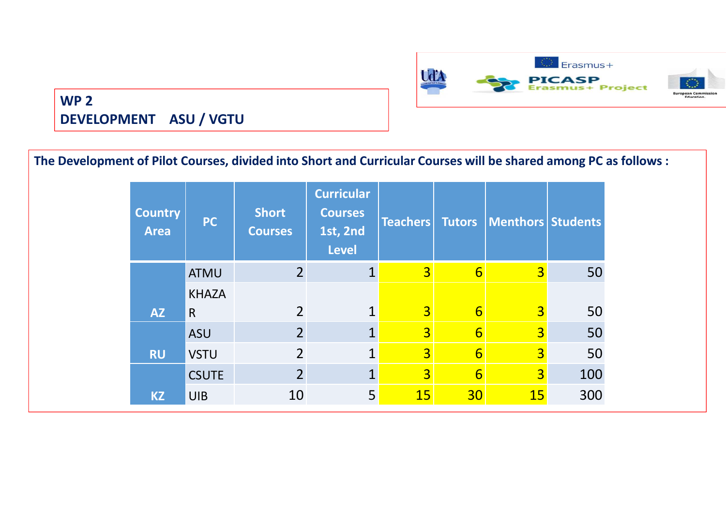

#### **WP 2 DEVELOPMENT ASU / VGTU**

| The Development of Pilot Courses, divided into Short and Curricular Courses will be shared among PC as follows: |              |                                |                                                                 |                 |                  |                   |     |
|-----------------------------------------------------------------------------------------------------------------|--------------|--------------------------------|-----------------------------------------------------------------|-----------------|------------------|-------------------|-----|
| <b>Country</b><br><b>Area</b>                                                                                   | <b>PC</b>    | <b>Short</b><br><b>Courses</b> | <b>Curricular</b><br><b>Courses</b><br>1st, 2nd<br><b>Level</b> | <b>Teachers</b> | <b>Tutors</b>    | Menthors Students |     |
|                                                                                                                 | <b>ATMU</b>  | $\overline{2}$                 |                                                                 | 3 <sup>l</sup>  | $6 \overline{6}$ | $\overline{3}$    | 50  |
|                                                                                                                 | <b>KHAZA</b> |                                |                                                                 |                 |                  |                   |     |
| <b>AZ</b>                                                                                                       | $\mathsf{R}$ | $\overline{2}$                 | $\mathbf{1}$                                                    | 3 <sup>l</sup>  | $6 \overline{6}$ | $\overline{3}$    | 50  |
|                                                                                                                 | <b>ASU</b>   | $\overline{2}$                 |                                                                 | 3 <sup>l</sup>  | $6 \overline{6}$ | $\overline{3}$    | 50  |
| <b>RU</b>                                                                                                       | <b>VSTU</b>  | $\overline{2}$                 | $\overline{1}$                                                  | 3 <sup>1</sup>  | $6 \overline{6}$ | $\overline{3}$    | 50  |
|                                                                                                                 | <b>CSUTE</b> | $\overline{2}$                 | $\mathbf{1}$                                                    | $\overline{3}$  | $6 \overline{6}$ | 3 <sup>l</sup>    | 100 |
| <b>KZ</b>                                                                                                       | <b>UIB</b>   | 10                             | 5 <sup>1</sup>                                                  | 15              | 30 <sup>°</sup>  | <b>15</b>         | 300 |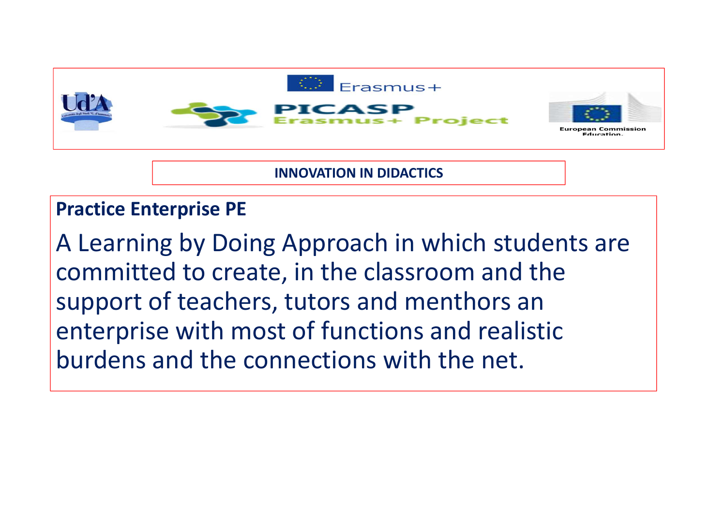

**INNOVATION IN DIDACTICS**

#### **Practice Enterprise PE**

A Learning by Doing Approach in which students are committed to create, in the classroom and the<br>cunnort of toachers, tutors and monthers an support of teachers, tutors and menthors an enterprise with most of functions and realistic burdens and the connections with the net.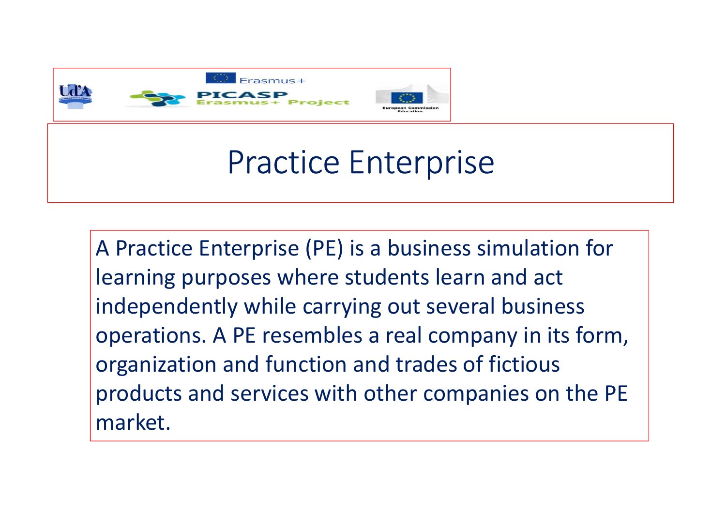

# Practice Enterprise

A Practice Enterprise (PE) is a business simulation for learning purposes where students learn and act independently while carrying out several business operations. A PE resembles a real company in its form, organization and function and trades of fictiousproducts and services with other companies on the PE market.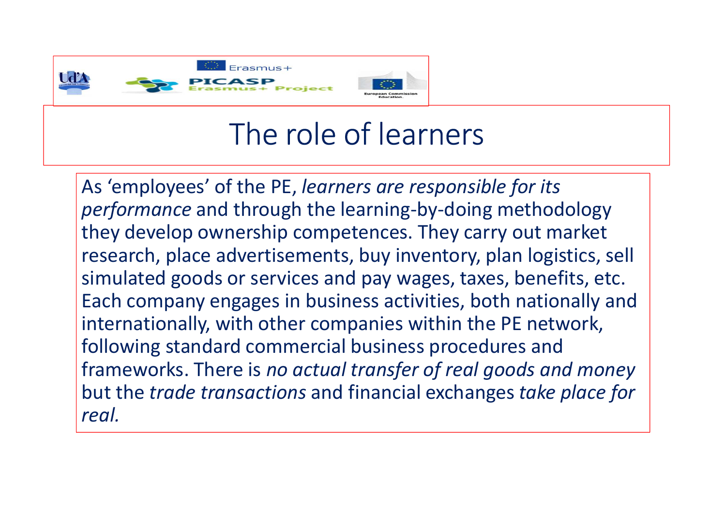

## The role of learners

As 'employees' of the PE, *learners are responsible for its performance* and through the learning-by-doing methodology they develop ownership competences. They carry out market research, place advertisements, buy inventory, plan logistics, sell simulated goods or services and pay wages, taxes, benefits, etc. Each company engages in business activities, both nationally and internationally, with other companies within the PE network, following standard commercial business procedures and frameworks. There is *no actual transfer of real goods and money* but the *trade transactions* and financial exchanges *take place for real.*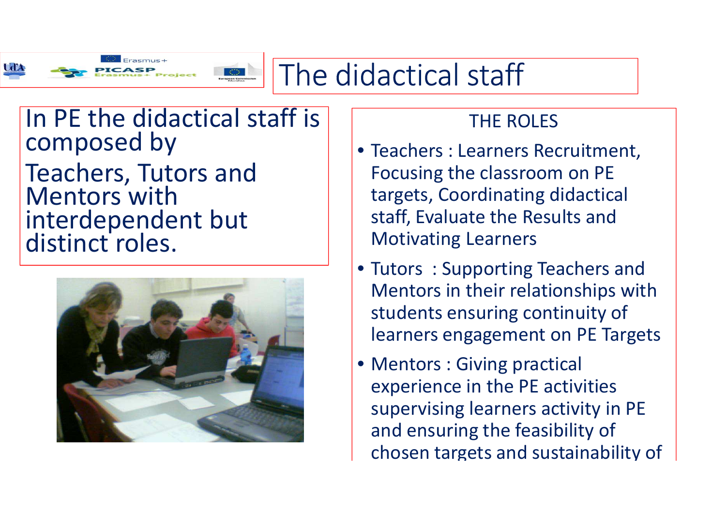

### The didactical staff

### In PE the didactical staff is composed by

Teachers, Tutors and Mentors with interdependent but distinct roles.



#### THE ROLES

- Teachers : Learners Recruitment, Focusing the classroom on PE<br>targots, Coordinating didacties targets, Coordinating didactical staff, Evaluate the Results and Motivating Learners
- Tutors : Supporting Teachers and Mentors in their relationships with students ensuring continuity of learners engagement on PE Targets
- Mentors : Giving practical experience in the PE activities supervising learners activity in PE and ensuring the feasibility of chosen targets and sustainability of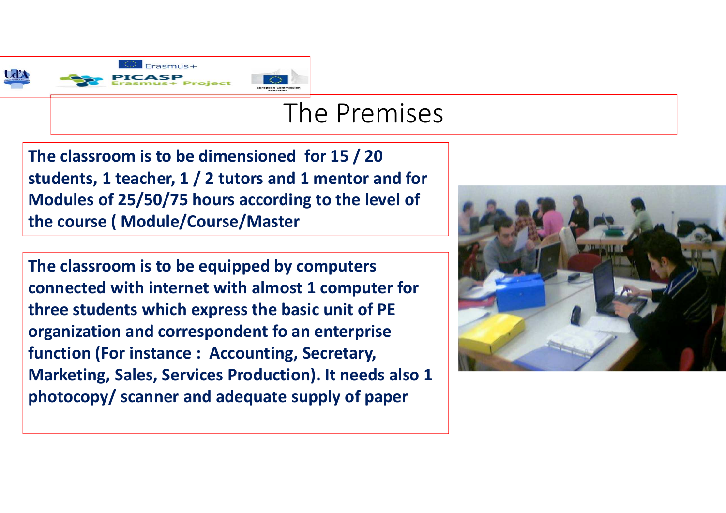

#### The Premises

**The classroom is to be dimensioned for 15 / 20 students, 1 teacher, 1 / 2 tutors and 1 mentor and for Modules of 25/50/75 hours according to the level of the course ( Module/Course/Master**

**The classroom is to be equipped by computers connected with internet with almost 1 computer for three students which express the basic unit of PE organization and correspondent fo an enterprise function (For instance : Accounting, Secretary, Marketing, Sales, Services Production). It needs also <sup>1</sup> photocopy/ scanner and adequate supply of paper**